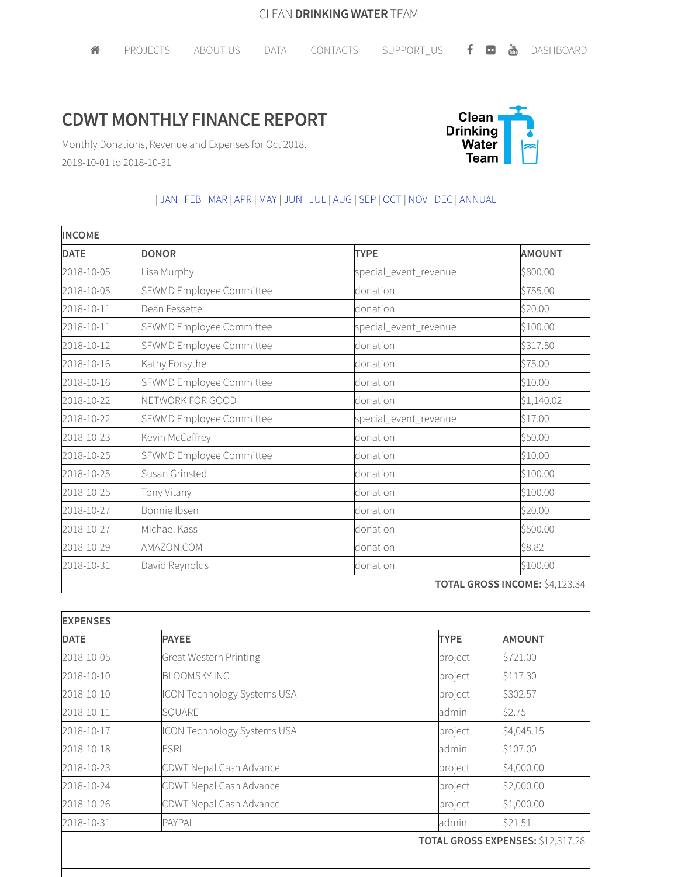## **CDWT MONTHLY FINANCE REPORT**



Monthly Donations, Revenue and Expenses for Oct 2018. 2018-10-01 to 2018-10-31

## | JAN | FEB |MAR |APR |MAY | JUN | JUL | AUG |SEP | OCT | NOV | DEC | ANNUAL

| <b>INCOME</b> |                          |                       |                                |  |
|---------------|--------------------------|-----------------------|--------------------------------|--|
| <b>DATE</b>   | <b>DONOR</b>             | <b>TYPE</b>           | <b>AMOUNT</b>                  |  |
| 2018-10-05    | Lisa Murphy              | special_event_revenue | \$800.00                       |  |
| 2018-10-05    | SFWMD Employee Committee | donation              | \$755.00                       |  |
| 2018-10-11    | Dean Fessette            | donation              | \$20.00                        |  |
| 2018-10-11    | SFWMD Employee Committee | special_event_revenue | \$100.00                       |  |
| 2018-10-12    | SFWMD Employee Committee | donation              | \$317.50                       |  |
| 2018-10-16    | Kathy Forsythe           | donation              | \$75.00                        |  |
| 2018-10-16    | SFWMD Employee Committee | donation              | \$10.00                        |  |
| 2018-10-22    | NETWORK FOR GOOD         | donation              | \$1,140.02                     |  |
| 2018-10-22    | SFWMD Employee Committee | special_event_revenue | \$17.00                        |  |
| 2018-10-23    | Kevin McCaffrey          | donation              | \$50.00                        |  |
| 2018-10-25    | SFWMD Employee Committee | donation              | \$10.00                        |  |
| 2018-10-25    | Susan Grinsted           | donation              | \$100.00                       |  |
| 2018-10-25    | Tony Vitany              | donation              | \$100.00                       |  |
| 2018-10-27    | Bonnie Ibsen             | donation              | \$20.00                        |  |
| 2018-10-27    | Michael Kass             | donation              | \$500.00                       |  |
| 2018-10-29    | AMAZON.COM               | donation              | \$8.82                         |  |
| 2018-10-31    | David Reynolds           | donation              | \$100.00                       |  |
|               |                          |                       | TOTAL GROSS INCOME: \$4,123.34 |  |

| <b>EXPENSES</b> |                                    |             |                                          |  |
|-----------------|------------------------------------|-------------|------------------------------------------|--|
| <b>DATE</b>     | <b>PAYEE</b>                       | <b>TYPE</b> | <b>AMOUNT</b>                            |  |
| 2018-10-05      | <b>Great Western Printing</b>      | project     | \$721.00                                 |  |
| 2018-10-10      | <b>BLOOMSKY INC</b>                | project     | \$117.30                                 |  |
| 2018-10-10      | <b>ICON Technology Systems USA</b> | project     | \$302.57                                 |  |
| 2018-10-11      | SQUARE                             | admin       | \$2.75                                   |  |
| 2018-10-17      | ICON Technology Systems USA        | project     | \$4,045.15                               |  |
| 2018-10-18      | <b>ESRI</b>                        | admin       | \$107.00                                 |  |
| 2018-10-23      | CDWT Nepal Cash Advance            | project     | \$4,000.00                               |  |
| 2018-10-24      | CDWT Nepal Cash Advance            | project     | \$2,000.00                               |  |
| 2018-10-26      | CDWT Nepal Cash Advance            | project     | \$1,000.00                               |  |
| 2018-10-31      | <b>PAYPAL</b>                      | admin       | \$21.51                                  |  |
|                 |                                    |             | <b>TOTAL GROSS EXPENSES: \$12,317.28</b> |  |
|                 |                                    |             |                                          |  |